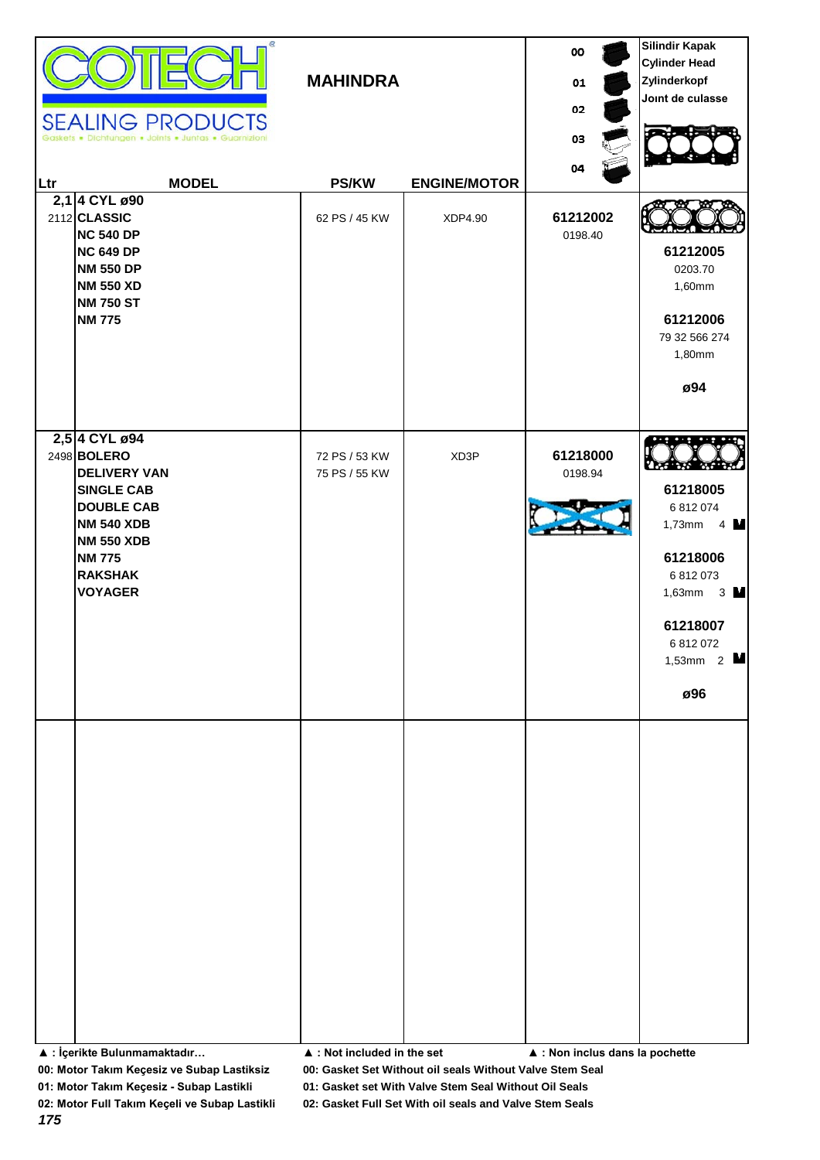| œ.<br><b>SEALING PRODUCTS</b><br>· Dichtungen · Joints · Juntas · Guarnizion<br><b>MODEL</b><br>Ltr<br>2,1 4 CYL ø90<br>2112 CLASSIC<br><b>NC 540 DP</b><br><b>NC 649 DP</b><br><b>NM 550 DP</b><br><b>NM 550 XD</b><br><b>NM 750 ST</b><br><b>NM 775</b> | <b>MAHINDRA</b><br><b>PS/KW</b><br>62 PS / 45 KW | <b>ENGINE/MOTOR</b><br>XDP4.90 | 00<br>01<br>02<br>03<br>04<br>61212002<br>0198.40 | <b>Silindir Kapak</b><br><b>Cylinder Head</b><br>Zylinderkopf<br>Joint de culasse<br>61212005<br>0203.70<br>1,60mm<br>61212006<br>79 32 566 274<br>1,80mm<br>ø94 |
|-----------------------------------------------------------------------------------------------------------------------------------------------------------------------------------------------------------------------------------------------------------|--------------------------------------------------|--------------------------------|---------------------------------------------------|------------------------------------------------------------------------------------------------------------------------------------------------------------------|
| 2,5 4 CYL ø94<br>2498 BOLERO<br><b>DELIVERY VAN</b><br><b>SINGLE CAB</b><br><b>DOUBLE CAB</b><br><b>NM 540 XDB</b><br><b>NM 550 XDB</b><br><b>NM 775</b><br><b>RAKSHAK</b><br><b>VOYAGER</b>                                                              | 72 PS / 53 KW<br>75 PS / 55 KW                   | XD3P                           | 61218000<br>0198.94                               | 61218005<br>6 812 074<br>1,73mm $4 \text{ M}$<br>61218006<br>6 812 073<br>1,63mm $3 \text{ N}$<br>61218007<br>6 812 072<br>1,53mm $2$<br>ø96                     |
| ▲ : İçerikte Bulunmamaktadır                                                                                                                                                                                                                              | ▲ : Not included in the set                      |                                | ▲ : Non inclus dans la pochette                   |                                                                                                                                                                  |

**00: Motor Takım Keçesiz ve Subap Lastiksiz 00: Gasket Set Without oil seals Without Valve Stem Seal**

**01: Motor Takım Keçesiz - Subap Lastikli 01: Gasket set With Valve Stem Seal Without Oil Seals**

*175*

**02: Motor Full Takım Keçeli ve Subap Lastikli 02: Gasket Full Set With oil seals and Valve Stem Seals**